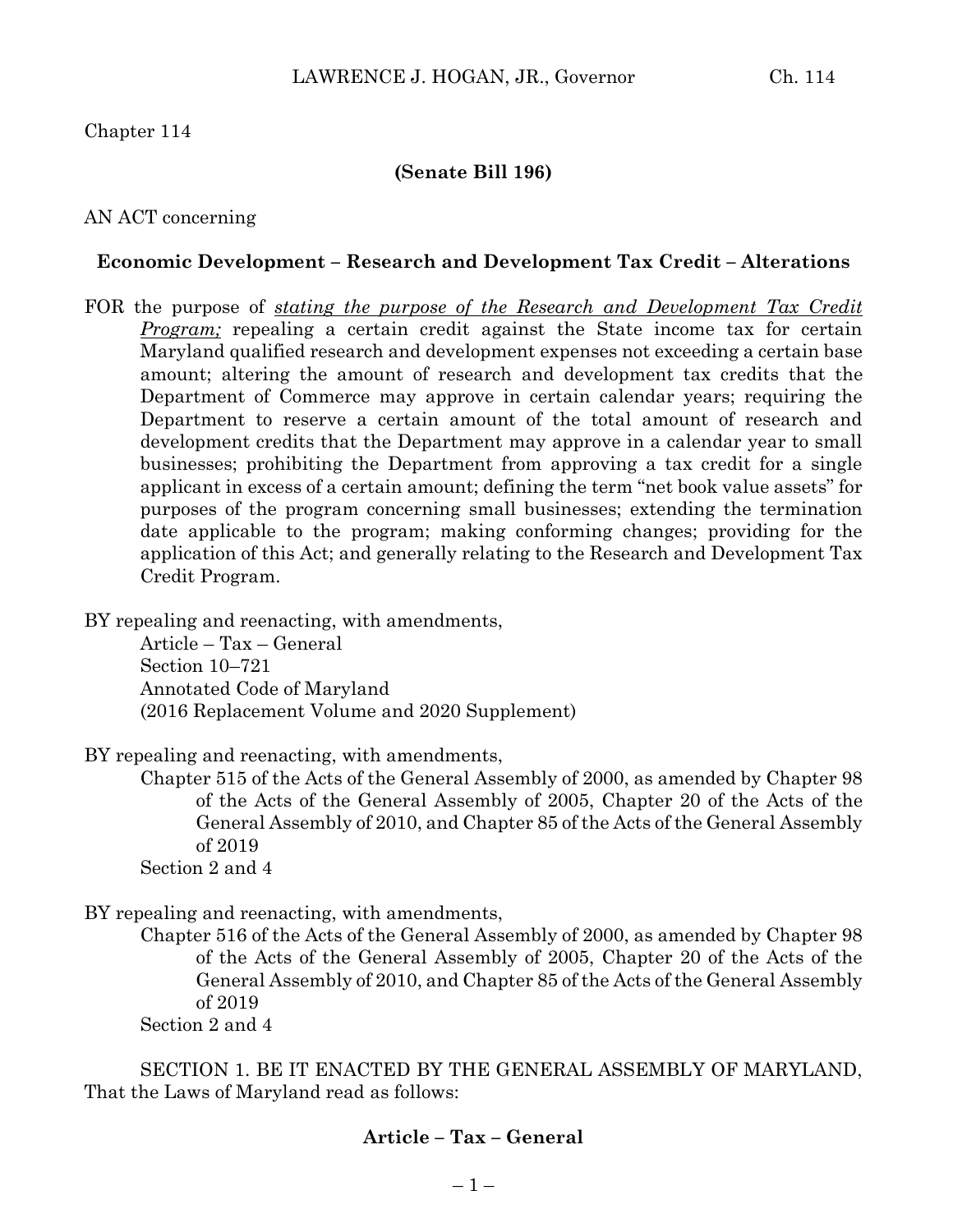#### Chapter 114

#### **(Senate Bill 196)**

#### AN ACT concerning

#### **Economic Development – Research and Development Tax Credit – Alterations**

FOR the purpose of *stating the purpose of the Research and Development Tax Credit Program;* repealing a certain credit against the State income tax for certain Maryland qualified research and development expenses not exceeding a certain base amount; altering the amount of research and development tax credits that the Department of Commerce may approve in certain calendar years; requiring the Department to reserve a certain amount of the total amount of research and development credits that the Department may approve in a calendar year to small businesses; prohibiting the Department from approving a tax credit for a single applicant in excess of a certain amount; defining the term "net book value assets" for purposes of the program concerning small businesses; extending the termination date applicable to the program; making conforming changes; providing for the application of this Act; and generally relating to the Research and Development Tax Credit Program.

BY repealing and reenacting, with amendments,

Article – Tax – General Section 10–721 Annotated Code of Maryland (2016 Replacement Volume and 2020 Supplement)

BY repealing and reenacting, with amendments,

Chapter 515 of the Acts of the General Assembly of 2000, as amended by Chapter 98 of the Acts of the General Assembly of 2005, Chapter 20 of the Acts of the General Assembly of 2010, and Chapter 85 of the Acts of the General Assembly of 2019

Section 2 and 4

BY repealing and reenacting, with amendments,

Chapter 516 of the Acts of the General Assembly of 2000, as amended by Chapter 98 of the Acts of the General Assembly of 2005, Chapter 20 of the Acts of the General Assembly of 2010, and Chapter 85 of the Acts of the General Assembly of 2019

Section 2 and 4

SECTION 1. BE IT ENACTED BY THE GENERAL ASSEMBLY OF MARYLAND, That the Laws of Maryland read as follows:

#### **Article – Tax – General**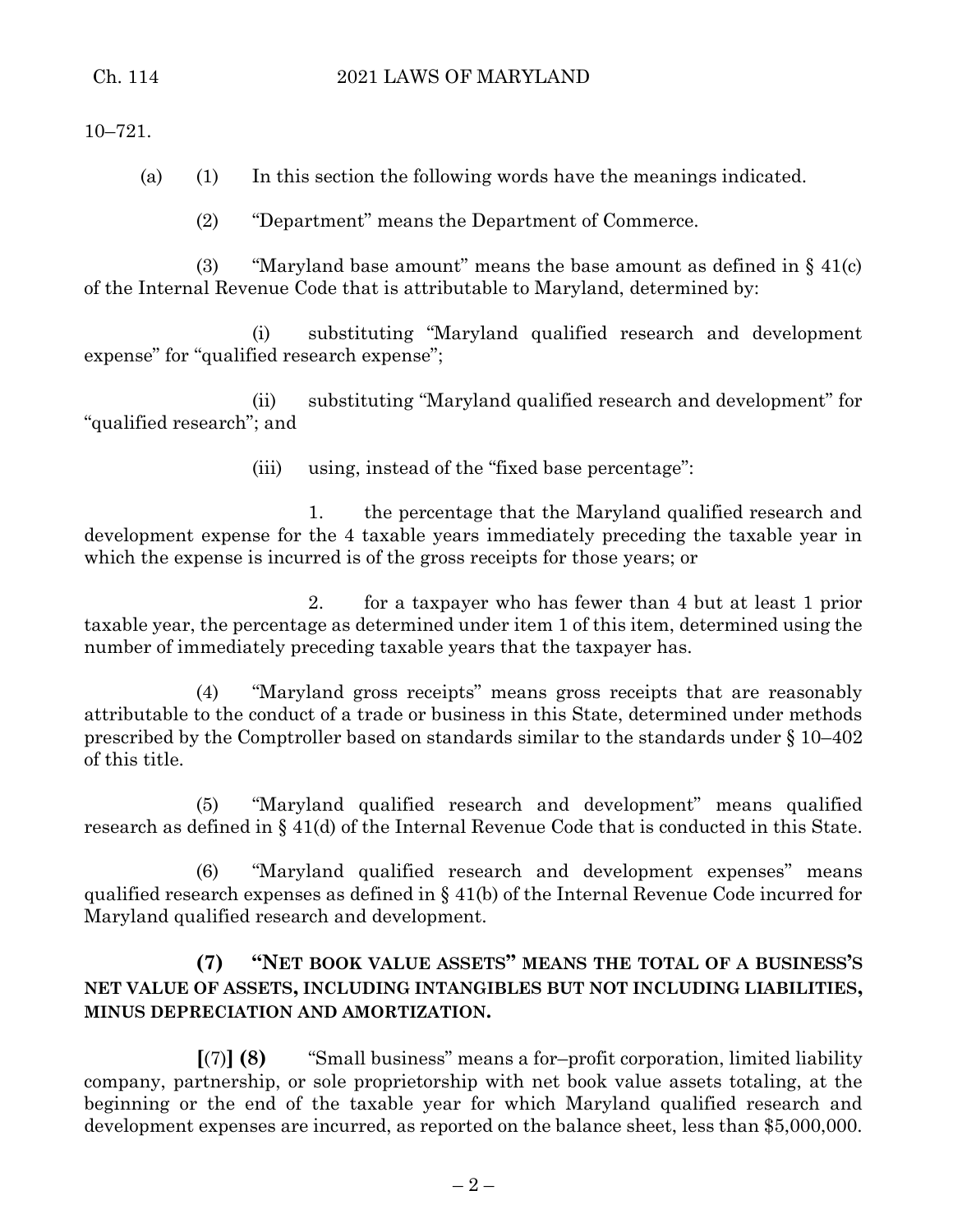10–721.

(a) (1) In this section the following words have the meanings indicated.

(2) "Department" means the Department of Commerce.

(3) "Maryland base amount" means the base amount as defined in  $\S 41(c)$ of the Internal Revenue Code that is attributable to Maryland, determined by:

(i) substituting "Maryland qualified research and development expense" for "qualified research expense";

(ii) substituting "Maryland qualified research and development" for "qualified research"; and

(iii) using, instead of the "fixed base percentage":

1. the percentage that the Maryland qualified research and development expense for the 4 taxable years immediately preceding the taxable year in which the expense is incurred is of the gross receipts for those years; or

2. for a taxpayer who has fewer than 4 but at least 1 prior taxable year, the percentage as determined under item 1 of this item, determined using the number of immediately preceding taxable years that the taxpayer has.

(4) "Maryland gross receipts" means gross receipts that are reasonably attributable to the conduct of a trade or business in this State, determined under methods prescribed by the Comptroller based on standards similar to the standards under § 10–402 of this title.

(5) "Maryland qualified research and development" means qualified research as defined in § 41(d) of the Internal Revenue Code that is conducted in this State.

(6) "Maryland qualified research and development expenses" means qualified research expenses as defined in § 41(b) of the Internal Revenue Code incurred for Maryland qualified research and development.

# **(7) "NET BOOK VALUE ASSETS" MEANS THE TOTAL OF A BUSINESS'S NET VALUE OF ASSETS, INCLUDING INTANGIBLES BUT NOT INCLUDING LIABILITIES, MINUS DEPRECIATION AND AMORTIZATION.**

**[**(7)**] (8)** "Small business" means a for–profit corporation, limited liability company, partnership, or sole proprietorship with net book value assets totaling, at the beginning or the end of the taxable year for which Maryland qualified research and development expenses are incurred, as reported on the balance sheet, less than \$5,000,000.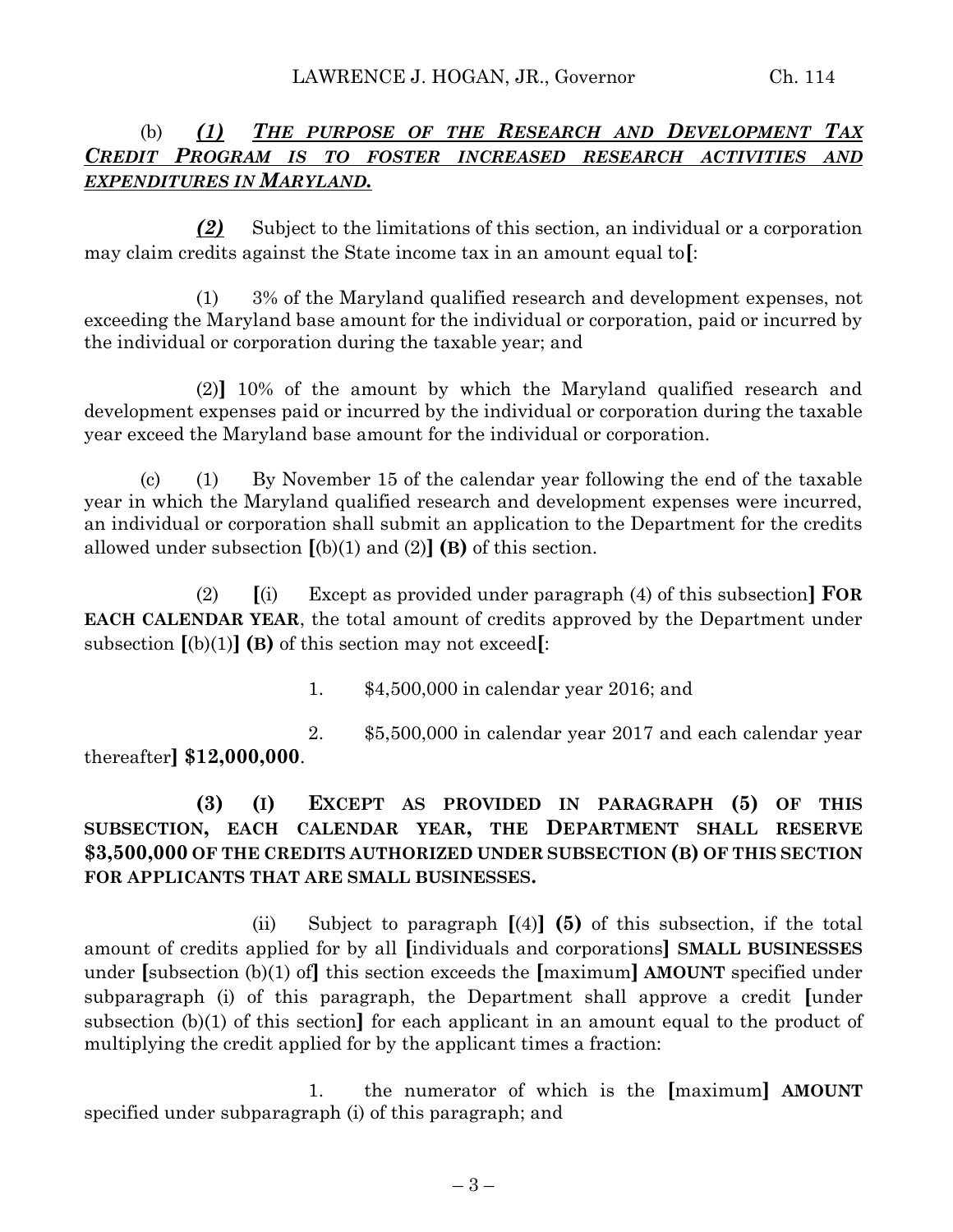# (b) *(1) THE PURPOSE OF THE RESEARCH AND DEVELOPMENT TAX CREDIT PROGRAM IS TO FOSTER INCREASED RESEARCH ACTIVITIES AND EXPENDITURES IN MARYLAND.*

*(2)* Subject to the limitations of this section, an individual or a corporation may claim credits against the State income tax in an amount equal to**[**:

(1) 3% of the Maryland qualified research and development expenses, not exceeding the Maryland base amount for the individual or corporation, paid or incurred by the individual or corporation during the taxable year; and

(2)**]** 10% of the amount by which the Maryland qualified research and development expenses paid or incurred by the individual or corporation during the taxable year exceed the Maryland base amount for the individual or corporation.

(c) (1) By November 15 of the calendar year following the end of the taxable year in which the Maryland qualified research and development expenses were incurred, an individual or corporation shall submit an application to the Department for the credits allowed under subsection  $[(b)(1)$  and  $(2)]$  **(B)** of this section.

(2) **[**(i) Except as provided under paragraph (4) of this subsection**] FOR EACH CALENDAR YEAR**, the total amount of credits approved by the Department under subsection **[**(b)(1)**] (B)** of this section may not exceed**[**:

1. \$4,500,000 in calendar year 2016; and

2. \$5,500,000 in calendar year 2017 and each calendar year thereafter**] \$12,000,000**.

# **(3) (I) EXCEPT AS PROVIDED IN PARAGRAPH (5) OF THIS SUBSECTION, EACH CALENDAR YEAR, THE DEPARTMENT SHALL RESERVE \$3,500,000 OF THE CREDITS AUTHORIZED UNDER SUBSECTION (B) OF THIS SECTION FOR APPLICANTS THAT ARE SMALL BUSINESSES.**

(ii) Subject to paragraph **[**(4)**] (5)** of this subsection, if the total amount of credits applied for by all **[**individuals and corporations**] SMALL BUSINESSES** under **[**subsection (b)(1) of**]** this section exceeds the **[**maximum**] AMOUNT** specified under subparagraph (i) of this paragraph, the Department shall approve a credit **[**under subsection (b)(1) of this section**]** for each applicant in an amount equal to the product of multiplying the credit applied for by the applicant times a fraction:

1. the numerator of which is the **[**maximum**] AMOUNT** specified under subparagraph (i) of this paragraph; and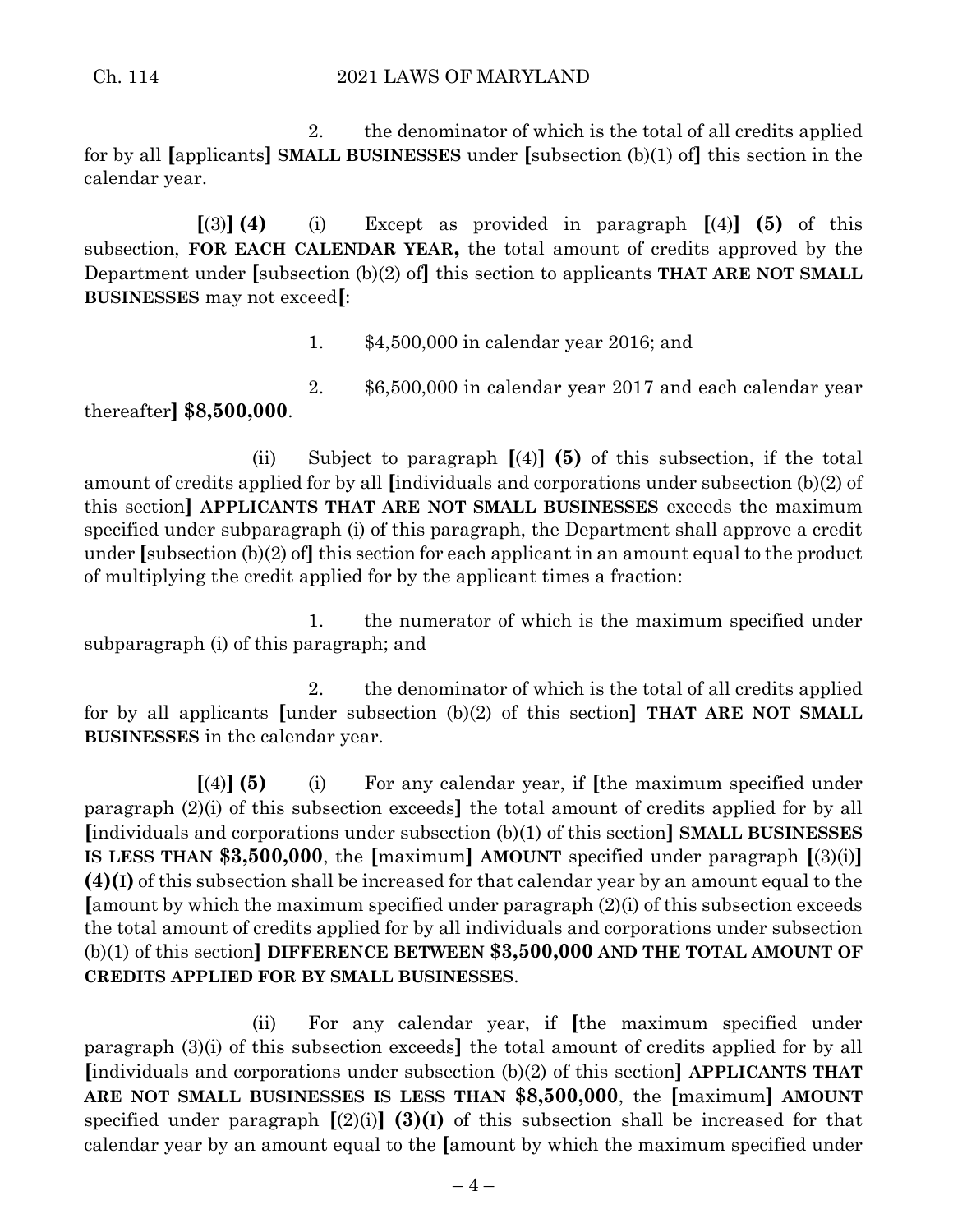### Ch. 114 2021 LAWS OF MARYLAND

2. the denominator of which is the total of all credits applied for by all **[**applicants**] SMALL BUSINESSES** under **[**subsection (b)(1) of**]** this section in the calendar year.

 $\lceil(3)\rceil$  **(4)** (i) Except as provided in paragraph  $\lceil(4)\rceil$  **(5)** of this subsection, **FOR EACH CALENDAR YEAR,** the total amount of credits approved by the Department under **[**subsection (b)(2) of**]** this section to applicants **THAT ARE NOT SMALL BUSINESSES** may not exceed**[**:

1. \$4,500,000 in calendar year 2016; and

2. \$6,500,000 in calendar year 2017 and each calendar year thereafter**] \$8,500,000**.

(ii) Subject to paragraph **[**(4)**] (5)** of this subsection, if the total amount of credits applied for by all **[**individuals and corporations under subsection (b)(2) of this section**] APPLICANTS THAT ARE NOT SMALL BUSINESSES** exceeds the maximum specified under subparagraph (i) of this paragraph, the Department shall approve a credit under **[**subsection (b)(2) of**]** this section for each applicant in an amount equal to the product of multiplying the credit applied for by the applicant times a fraction:

1. the numerator of which is the maximum specified under subparagraph (i) of this paragraph; and

2. the denominator of which is the total of all credits applied for by all applicants **[**under subsection (b)(2) of this section**] THAT ARE NOT SMALL BUSINESSES** in the calendar year.

**[**(4)**] (5)** (i) For any calendar year, if **[**the maximum specified under paragraph (2)(i) of this subsection exceeds**]** the total amount of credits applied for by all **[**individuals and corporations under subsection (b)(1) of this section**] SMALL BUSINESSES IS LESS THAN \$3,500,000**, the **[**maximum**] AMOUNT** specified under paragraph **[**(3)(i)**] (4)(I)** of this subsection shall be increased for that calendar year by an amount equal to the **[**amount by which the maximum specified under paragraph (2)(i) of this subsection exceeds the total amount of credits applied for by all individuals and corporations under subsection (b)(1) of this section**] DIFFERENCE BETWEEN \$3,500,000 AND THE TOTAL AMOUNT OF CREDITS APPLIED FOR BY SMALL BUSINESSES**.

(ii) For any calendar year, if **[**the maximum specified under paragraph (3)(i) of this subsection exceeds**]** the total amount of credits applied for by all **[**individuals and corporations under subsection (b)(2) of this section**] APPLICANTS THAT ARE NOT SMALL BUSINESSES IS LESS THAN \$8,500,000**, the **[**maximum**] AMOUNT** specified under paragraph  $[(2)(i)]$  (3)(I) of this subsection shall be increased for that calendar year by an amount equal to the **[**amount by which the maximum specified under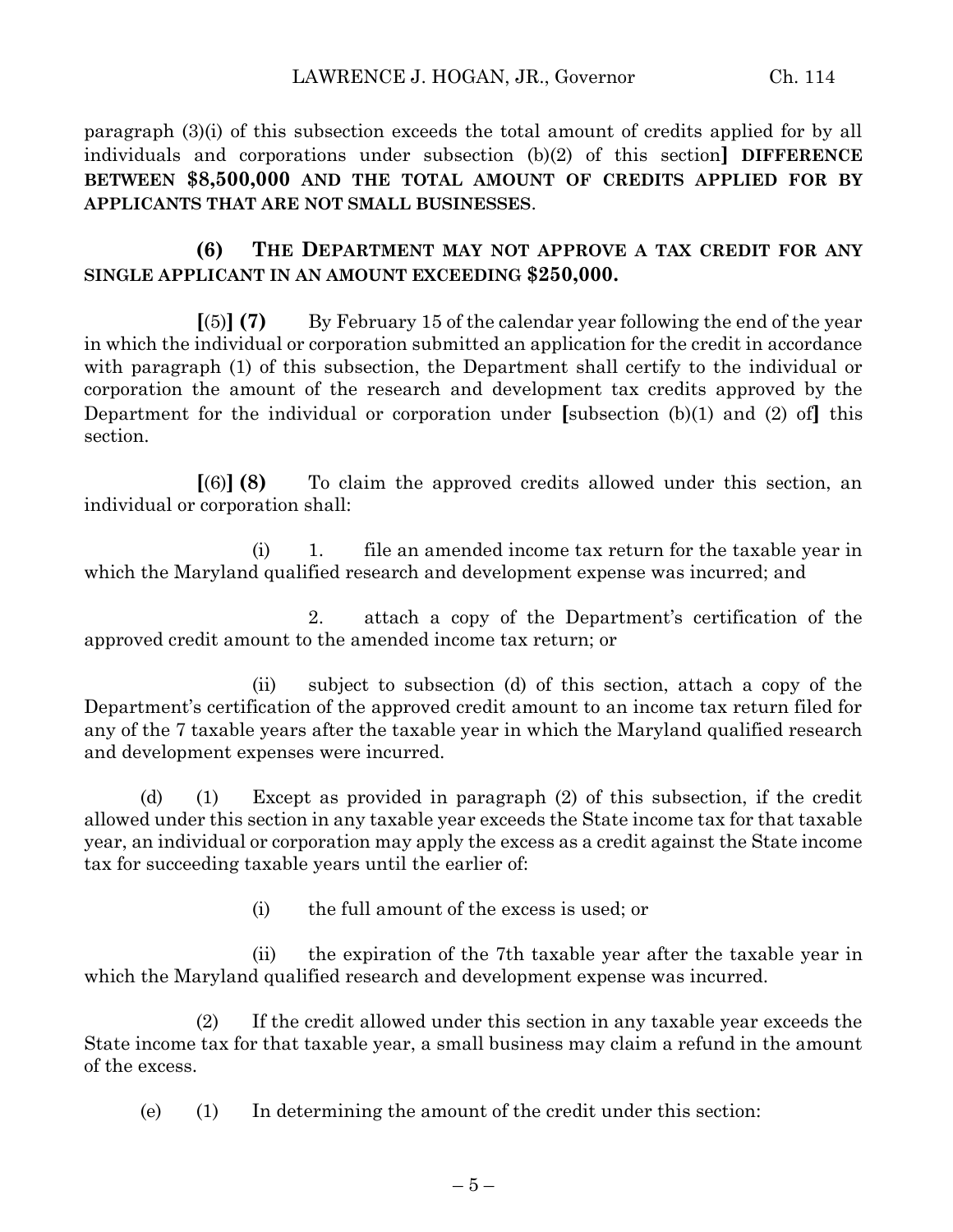paragraph (3)(i) of this subsection exceeds the total amount of credits applied for by all individuals and corporations under subsection (b)(2) of this section**] DIFFERENCE BETWEEN \$8,500,000 AND THE TOTAL AMOUNT OF CREDITS APPLIED FOR BY APPLICANTS THAT ARE NOT SMALL BUSINESSES**.

## **(6) THE DEPARTMENT MAY NOT APPROVE A TAX CREDIT FOR ANY SINGLE APPLICANT IN AN AMOUNT EXCEEDING \$250,000.**

**[**(5)**] (7)** By February 15 of the calendar year following the end of the year in which the individual or corporation submitted an application for the credit in accordance with paragraph (1) of this subsection, the Department shall certify to the individual or corporation the amount of the research and development tax credits approved by the Department for the individual or corporation under **[**subsection (b)(1) and (2) of**]** this section.

**[**(6)**] (8)** To claim the approved credits allowed under this section, an individual or corporation shall:

(i) 1. file an amended income tax return for the taxable year in which the Maryland qualified research and development expense was incurred; and

2. attach a copy of the Department's certification of the approved credit amount to the amended income tax return; or

(ii) subject to subsection (d) of this section, attach a copy of the Department's certification of the approved credit amount to an income tax return filed for any of the 7 taxable years after the taxable year in which the Maryland qualified research and development expenses were incurred.

(d) (1) Except as provided in paragraph (2) of this subsection, if the credit allowed under this section in any taxable year exceeds the State income tax for that taxable year, an individual or corporation may apply the excess as a credit against the State income tax for succeeding taxable years until the earlier of:

(i) the full amount of the excess is used; or

(ii) the expiration of the 7th taxable year after the taxable year in which the Maryland qualified research and development expense was incurred.

(2) If the credit allowed under this section in any taxable year exceeds the State income tax for that taxable year, a small business may claim a refund in the amount of the excess.

(e) (1) In determining the amount of the credit under this section: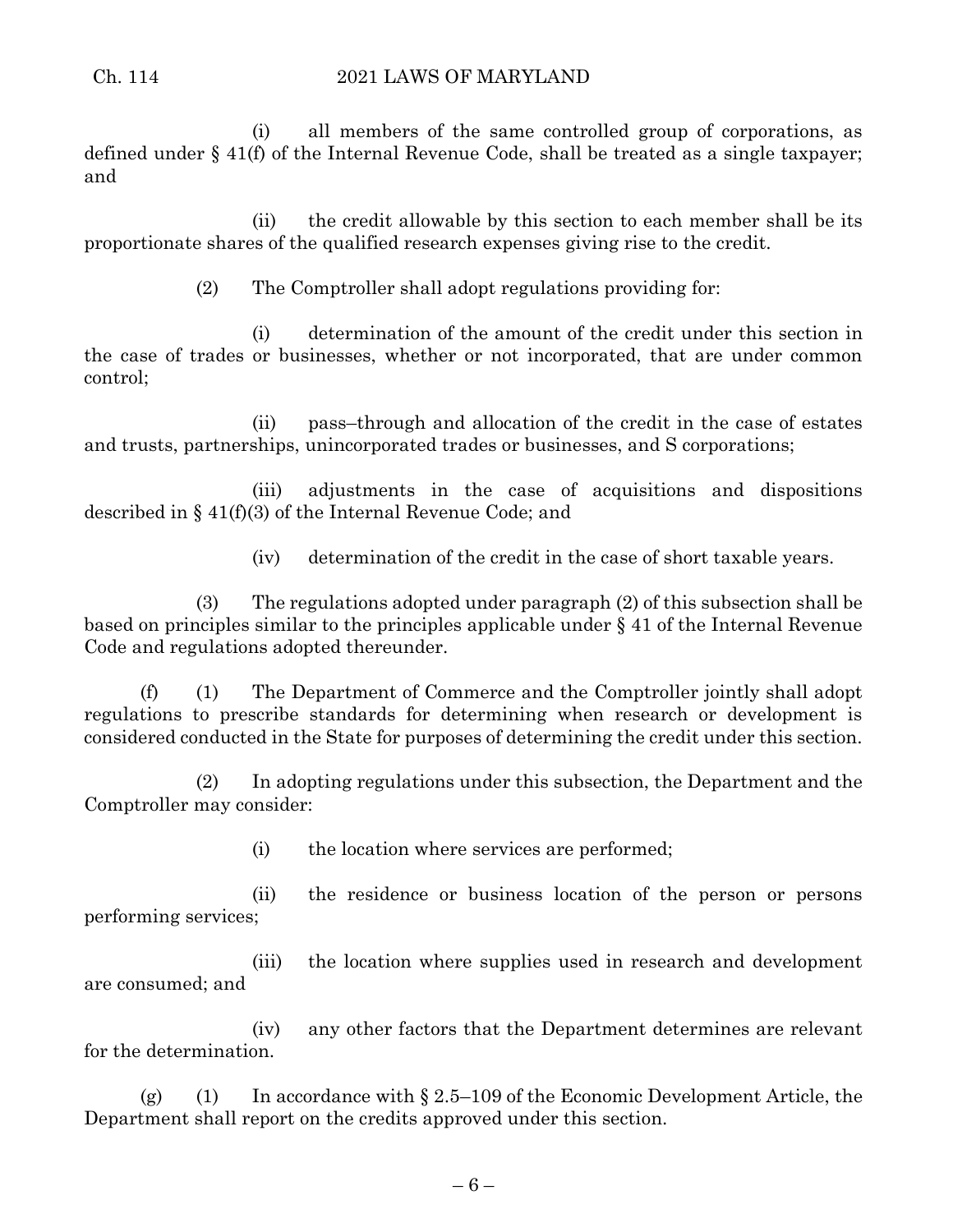(i) all members of the same controlled group of corporations, as defined under § 41(f) of the Internal Revenue Code, shall be treated as a single taxpayer; and

(ii) the credit allowable by this section to each member shall be its proportionate shares of the qualified research expenses giving rise to the credit.

(2) The Comptroller shall adopt regulations providing for:

(i) determination of the amount of the credit under this section in the case of trades or businesses, whether or not incorporated, that are under common control;

(ii) pass–through and allocation of the credit in the case of estates and trusts, partnerships, unincorporated trades or businesses, and S corporations;

(iii) adjustments in the case of acquisitions and dispositions described in § 41(f)(3) of the Internal Revenue Code; and

(iv) determination of the credit in the case of short taxable years.

(3) The regulations adopted under paragraph (2) of this subsection shall be based on principles similar to the principles applicable under § 41 of the Internal Revenue Code and regulations adopted thereunder.

(f) (1) The Department of Commerce and the Comptroller jointly shall adopt regulations to prescribe standards for determining when research or development is considered conducted in the State for purposes of determining the credit under this section.

(2) In adopting regulations under this subsection, the Department and the Comptroller may consider:

(i) the location where services are performed;

(ii) the residence or business location of the person or persons performing services;

(iii) the location where supplies used in research and development are consumed; and

(iv) any other factors that the Department determines are relevant for the determination.

(g) (1) In accordance with  $\S 2.5-109$  of the Economic Development Article, the Department shall report on the credits approved under this section.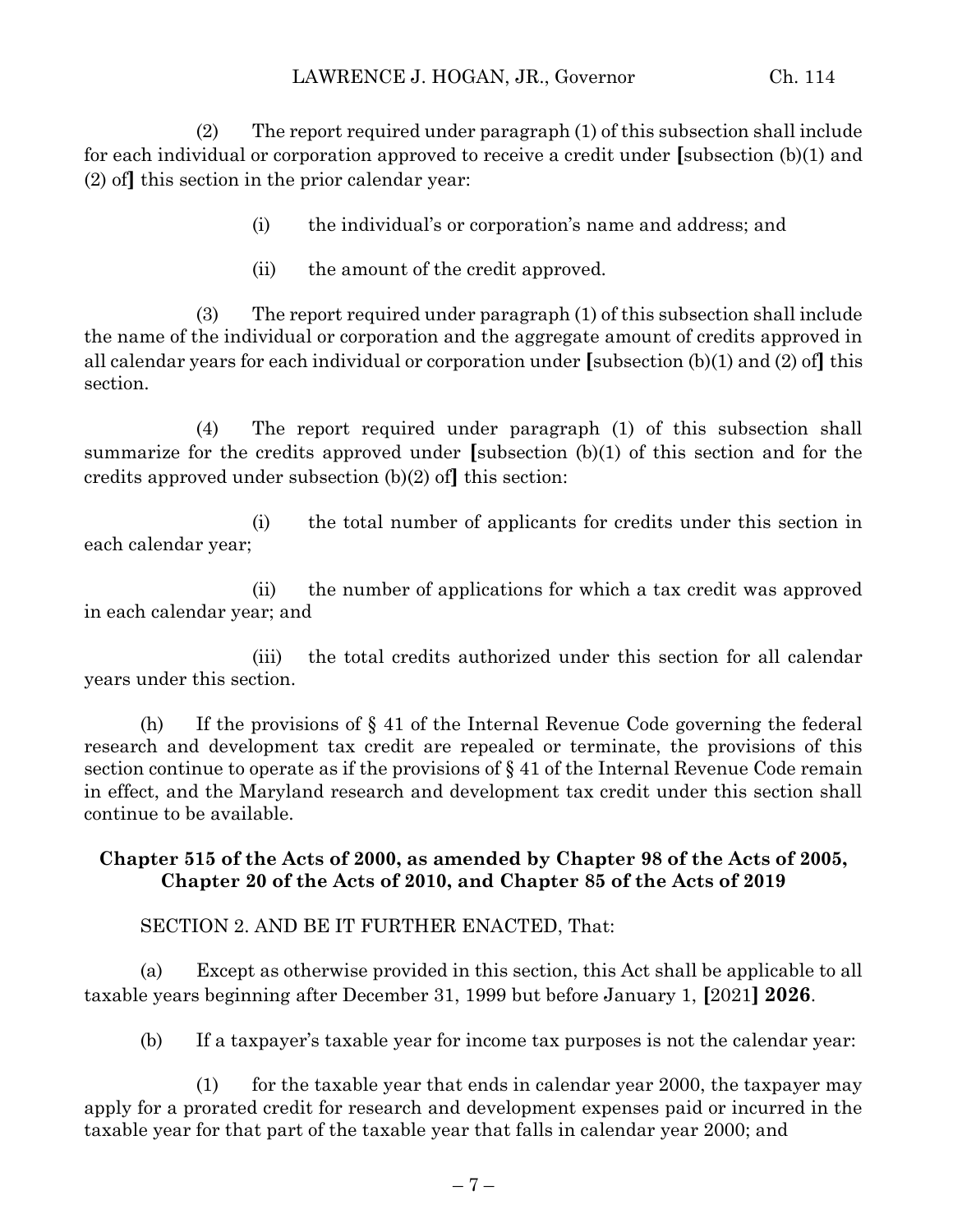(2) The report required under paragraph (1) of this subsection shall include for each individual or corporation approved to receive a credit under **[**subsection (b)(1) and (2) of**]** this section in the prior calendar year:

- (i) the individual's or corporation's name and address; and
- (ii) the amount of the credit approved.

(3) The report required under paragraph (1) of this subsection shall include the name of the individual or corporation and the aggregate amount of credits approved in all calendar years for each individual or corporation under **[**subsection (b)(1) and (2) of**]** this section.

(4) The report required under paragraph (1) of this subsection shall summarize for the credits approved under **[**subsection (b)(1) of this section and for the credits approved under subsection (b)(2) of**]** this section:

(i) the total number of applicants for credits under this section in each calendar year;

(ii) the number of applications for which a tax credit was approved in each calendar year; and

(iii) the total credits authorized under this section for all calendar years under this section.

(h) If the provisions of  $\S 41$  of the Internal Revenue Code governing the federal research and development tax credit are repealed or terminate, the provisions of this section continue to operate as if the provisions of § 41 of the Internal Revenue Code remain in effect, and the Maryland research and development tax credit under this section shall continue to be available.

## **Chapter 515 of the Acts of 2000, as amended by Chapter 98 of the Acts of 2005, Chapter 20 of the Acts of 2010, and Chapter 85 of the Acts of 2019**

SECTION 2. AND BE IT FURTHER ENACTED, That:

(a) Except as otherwise provided in this section, this Act shall be applicable to all taxable years beginning after December 31, 1999 but before January 1, **[**2021**] 2026**.

(b) If a taxpayer's taxable year for income tax purposes is not the calendar year:

(1) for the taxable year that ends in calendar year 2000, the taxpayer may apply for a prorated credit for research and development expenses paid or incurred in the taxable year for that part of the taxable year that falls in calendar year 2000; and